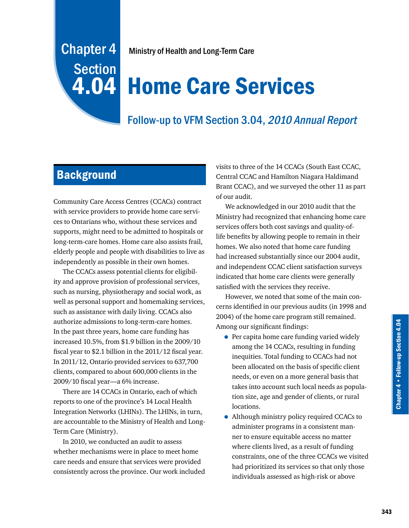# Chapter 4 **Section**

Ministry of Health and Long-Term Care

# 4.04 Home Care Services

## Follow-up to VFM Section 3.04, 2010 Annual Report

# **Background**

Community Care Access Centres (CCACs) contract with service providers to provide home care services to Ontarians who, without these services and supports, might need to be admitted to hospitals or long-term-care homes. Home care also assists frail, elderly people and people with disabilities to live as independently as possible in their own homes.

The CCACs assess potential clients for eligibility and approve provision of professional services, such as nursing, physiotherapy and social work, as well as personal support and homemaking services, such as assistance with daily living. CCACs also authorize admissions to long-term-care homes. In the past three years, home care funding has increased 10.5%, from \$1.9 billion in the 2009/10 fiscal year to \$2.1 billion in the 2011/12 fiscal year. In 2011/12, Ontario provided services to 637,700 clients, compared to about 600,000 clients in the 2009/10 fiscal year—a 6% increase.

There are 14 CCACs in Ontario, each of which reports to one of the province's 14 Local Health Integration Networks (LHINs). The LHINs, in turn, are accountable to the Ministry of Health and Long-Term Care (Ministry).

In 2010, we conducted an audit to assess whether mechanisms were in place to meet home care needs and ensure that services were provided consistently across the province. Our work included

visits to three of the 14 CCACs (South East CCAC, Central CCAC and Hamilton Niagara Haldimand Brant CCAC), and we surveyed the other 11 as part of our audit.

We acknowledged in our 2010 audit that the Ministry had recognized that enhancing home care services offers both cost savings and quality-oflife benefits by allowing people to remain in their homes. We also noted that home care funding had increased substantially since our 2004 audit, and independent CCAC client satisfaction surveys indicated that home care clients were generally satisfied with the services they receive.

However, we noted that some of the main concerns identified in our previous audits (in 1998 and 2004) of the home care program still remained. Among our significant findings:

- Per capita home care funding varied widely among the 14 CCACs, resulting in funding inequities. Total funding to CCACs had not been allocated on the basis of specific client needs, or even on a more general basis that takes into account such local needs as population size, age and gender of clients, or rural locations.
- Although ministry policy required CCACs to administer programs in a consistent manner to ensure equitable access no matter where clients lived, as a result of funding constraints, one of the three CCACs we visited had prioritized its services so that only those individuals assessed as high-risk or above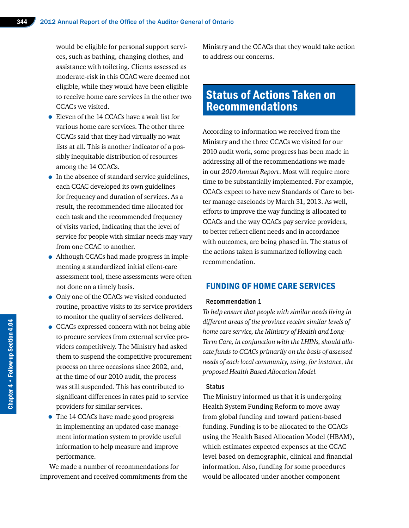would be eligible for personal support services, such as bathing, changing clothes, and assistance with toileting. Clients assessed as moderate-risk in this CCAC were deemed not eligible, while they would have been eligible to receive home care services in the other two CCACs we visited.

- Eleven of the 14 CCACs have a wait list for various home care services. The other three CCACs said that they had virtually no wait lists at all. This is another indicator of a possibly inequitable distribution of resources among the 14 CCACs.
- In the absence of standard service guidelines, each CCAC developed its own guidelines for frequency and duration of services. As a result, the recommended time allocated for each task and the recommended frequency of visits varied, indicating that the level of service for people with similar needs may vary from one CCAC to another.
- Although CCACs had made progress in implementing a standardized initial client-care assessment tool, these assessments were often not done on a timely basis.
- Only one of the CCACs we visited conducted routine, proactive visits to its service providers to monitor the quality of services delivered.
- CCACs expressed concern with not being able to procure services from external service providers competitively. The Ministry had asked them to suspend the competitive procurement process on three occasions since 2002, and, at the time of our 2010 audit, the process was still suspended. This has contributed to significant differences in rates paid to service providers for similar services.
- The 14 CCACs have made good progress in implementing an updated case management information system to provide useful information to help measure and improve performance.

We made a number of recommendations for improvement and received commitments from the Ministry and the CCACs that they would take action to address our concerns.

### Status of Actions Taken on Recommendations

According to information we received from the Ministry and the three CCACs we visited for our 2010 audit work, some progress has been made in addressing all of the recommendations we made in our *2010 Annual Report*. Most will require more time to be substantially implemented. For example, CCACs expect to have new Standards of Care to better manage caseloads by March 31, 2013. As well, efforts to improve the way funding is allocated to CCACs and the way CCACs pay service providers, to better reflect client needs and in accordance with outcomes, are being phased in. The status of the actions taken is summarized following each recommendation.

#### FUNDING OF HOME CARE SERVICES

#### Recommendation 1

*To help ensure that people with similar needs living in different areas of the province receive similar levels of home care service, the Ministry of Health and Long-Term Care, in conjunction with the LHINs, should allocate funds to CCACs primarily on the basis of assessed needs of each local community, using, for instance, the proposed Health Based Allocation Model.*

#### **Status**

The Ministry informed us that it is undergoing Health System Funding Reform to move away from global funding and toward patient-based funding. Funding is to be allocated to the CCACs using the Health Based Allocation Model (HBAM), which estimates expected expenses at the CCAC level based on demographic, clinical and financial information. Also, funding for some procedures would be allocated under another component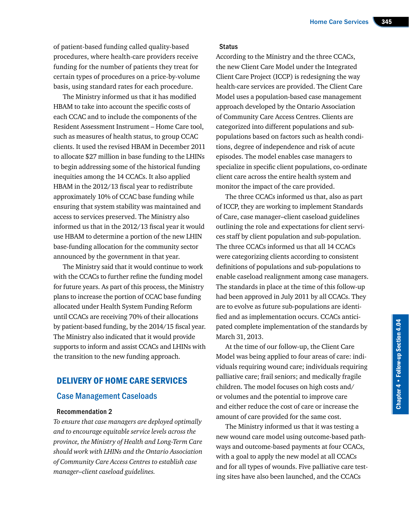of patient-based funding called quality-based procedures, where health-care providers receive funding for the number of patients they treat for certain types of procedures on a price-by-volume basis, using standard rates for each procedure.

The Ministry informed us that it has modified HBAM to take into account the specific costs of each CCAC and to include the components of the Resident Assessment Instrument – Home Care tool, such as measures of health status, to group CCAC clients. It used the revised HBAM in December 2011 to allocate \$27 million in base funding to the LHINs to begin addressing some of the historical funding inequities among the 14 CCACs. It also applied HBAM in the 2012/13 fiscal year to redistribute approximately 10% of CCAC base funding while ensuring that system stability was maintained and access to services preserved. The Ministry also informed us that in the 2012/13 fiscal year it would use HBAM to determine a portion of the new LHIN base-funding allocation for the community sector announced by the government in that year.

The Ministry said that it would continue to work with the CCACs to further refine the funding model for future years. As part of this process, the Ministry plans to increase the portion of CCAC base funding allocated under Health System Funding Reform until CCACs are receiving 70% of their allocations by patient-based funding, by the 2014/15 fiscal year. The Ministry also indicated that it would provide supports to inform and assist CCACs and LHINs with the transition to the new funding approach.

#### DELIVERY OF HOME CARE SERVICES

#### Case Management Caseloads

#### Recommendation 2

*To ensure that case managers are deployed optimally and to encourage equitable service levels across the province, the Ministry of Health and Long-Term Care should work with LHINs and the Ontario Association of Community Care Access Centres to establish case manager–client caseload guidelines.*

#### **Status**

According to the Ministry and the three CCACs, the new Client Care Model under the Integrated Client Care Project (ICCP) is redesigning the way health-care services are provided. The Client Care Model uses a population-based case management approach developed by the Ontario Association of Community Care Access Centres. Clients are categorized into different populations and subpopulations based on factors such as health conditions, degree of independence and risk of acute episodes. The model enables case managers to specialize in specific client populations, co-ordinate client care across the entire health system and monitor the impact of the care provided.

The three CCACs informed us that, also as part of ICCP, they are working to implement Standards of Care, case manager–client caseload guidelines outlining the role and expectations for client services staff by client population and sub-population. The three CCACs informed us that all 14 CCACs were categorizing clients according to consistent definitions of populations and sub-populations to enable caseload realignment among case managers. The standards in place at the time of this follow-up had been approved in July 2011 by all CCACs. They are to evolve as future sub-populations are identified and as implementation occurs. CCACs anticipated complete implementation of the standards by March 31, 2013.

At the time of our follow-up, the Client Care Model was being applied to four areas of care: individuals requiring wound care; individuals requiring palliative care; frail seniors; and medically fragile children. The model focuses on high costs and/ or volumes and the potential to improve care and either reduce the cost of care or increase the amount of care provided for the same cost.

The Ministry informed us that it was testing a new wound care model using outcome-based pathways and outcome-based payments at four CCACs, with a goal to apply the new model at all CCACs and for all types of wounds. Five palliative care testing sites have also been launched, and the CCACs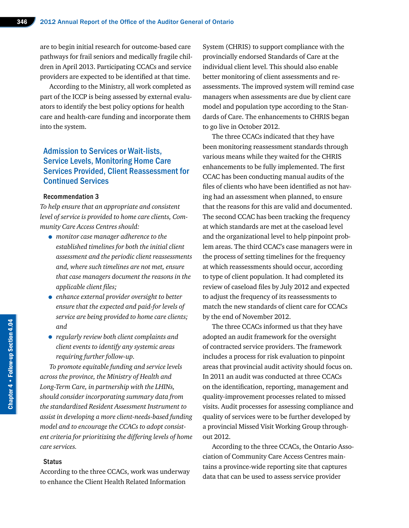are to begin initial research for outcome-based care pathways for frail seniors and medically fragile children in April 2013. Participating CCACs and service providers are expected to be identified at that time.

According to the Ministry, all work completed as part of the ICCP is being assessed by external evaluators to identify the best policy options for health care and health-care funding and incorporate them into the system.

#### Admission to Services or Wait-lists, Service Levels, Monitoring Home Care Services Provided, Client Reassessment for Continued Services

#### Recommendation 3

*To help ensure that an appropriate and consistent level of service is provided to home care clients, Community Care Access Centres should:* 

- *monitor case manager adherence to the established timelines for both the initial client assessment and the periodic client reassessments and, where such timelines are not met, ensure that case managers document the reasons in the applicable client files;*
- *enhance external provider oversight to better ensure that the expected and paid-for levels of service are being provided to home care clients; and*
- *regularly review both client complaints and client events to identify any systemic areas requiring further follow-up.*

*To promote equitable funding and service levels across the province, the Ministry of Health and Long-Term Care, in partnership with the LHINs, should consider incorporating summary data from the standardized Resident Assessment Instrument to assist in developing a more client-needs-based funding model and to encourage the CCACs to adopt consistent criteria for prioritizing the differing levels of home care services.*

#### **Status**

According to the three CCACs, work was underway to enhance the Client Health Related Information

System (CHRIS) to support compliance with the provincially endorsed Standards of Care at the individual client level. This should also enable better monitoring of client assessments and reassessments. The improved system will remind case managers when assessments are due by client care model and population type according to the Standards of Care. The enhancements to CHRIS began to go live in October 2012.

The three CCACs indicated that they have been monitoring reassessment standards through various means while they waited for the CHRIS enhancements to be fully implemented. The first CCAC has been conducting manual audits of the files of clients who have been identified as not having had an assessment when planned, to ensure that the reasons for this are valid and documented. The second CCAC has been tracking the frequency at which standards are met at the caseload level and the organizational level to help pinpoint problem areas. The third CCAC's case managers were in the process of setting timelines for the frequency at which reassessments should occur, according to type of client population. It had completed its review of caseload files by July 2012 and expected to adjust the frequency of its reassessments to match the new standards of client care for CCACs by the end of November 2012.

The three CCACs informed us that they have adopted an audit framework for the oversight of contracted service providers. The framework includes a process for risk evaluation to pinpoint areas that provincial audit activity should focus on. In 2011 an audit was conducted at three CCACs on the identification, reporting, management and quality-improvement processes related to missed visits. Audit processes for assessing compliance and quality of services were to be further developed by a provincial Missed Visit Working Group throughout 2012.

According to the three CCACs, the Ontario Association of Community Care Access Centres maintains a province-wide reporting site that captures data that can be used to assess service provider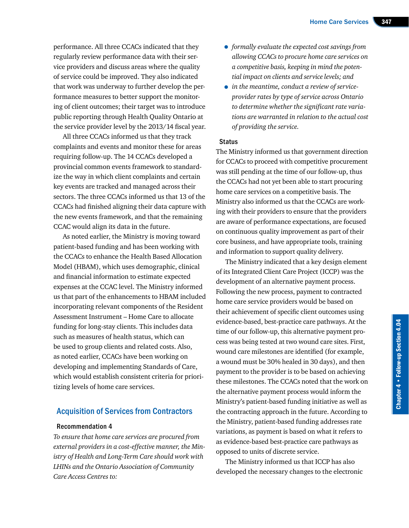performance. All three CCACs indicated that they regularly review performance data with their service providers and discuss areas where the quality of service could be improved. They also indicated that work was underway to further develop the performance measures to better support the monitoring of client outcomes; their target was to introduce public reporting through Health Quality Ontario at the service provider level by the 2013/14 fiscal year.

All three CCACs informed us that they track complaints and events and monitor these for areas requiring follow-up. The 14 CCACs developed a provincial common events framework to standardize the way in which client complaints and certain key events are tracked and managed across their sectors. The three CCACs informed us that 13 of the CCACs had finished aligning their data capture with the new events framework, and that the remaining CCAC would align its data in the future.

As noted earlier, the Ministry is moving toward patient-based funding and has been working with the CCACs to enhance the Health Based Allocation Model (HBAM), which uses demographic, clinical and financial information to estimate expected expenses at the CCAC level. The Ministry informed us that part of the enhancements to HBAM included incorporating relevant components of the Resident Assessment Instrument – Home Care to allocate funding for long-stay clients. This includes data such as measures of health status, which can be used to group clients and related costs. Also, as noted earlier, CCACs have been working on developing and implementing Standards of Care, which would establish consistent criteria for prioritizing levels of home care services.

#### Acquisition of Services from Contractors

#### Recommendation 4

*To ensure that home care services are procured from external providers in a cost-effective manner, the Ministry of Health and Long-Term Care should work with LHINs and the Ontario Association of Community Care Access Centres to:*

- *formally evaluate the expected cost savings from allowing CCACs to procure home care services on a competitive basis, keeping in mind the potential impact on clients and service levels; and*
- *in the meantime, conduct a review of serviceprovider rates by type of service across Ontario to determine whether the significant rate variations are warranted in relation to the actual cost of providing the service.*

#### **Status**

The Ministry informed us that government direction for CCACs to proceed with competitive procurement was still pending at the time of our follow-up, thus the CCACs had not yet been able to start procuring home care services on a competitive basis. The Ministry also informed us that the CCACs are working with their providers to ensure that the providers are aware of performance expectations, are focused on continuous quality improvement as part of their core business, and have appropriate tools, training and information to support quality delivery.

The Ministry indicated that a key design element of its Integrated Client Care Project (ICCP) was the development of an alternative payment process. Following the new process, payment to contracted home care service providers would be based on their achievement of specific client outcomes using evidence-based, best-practice care pathways. At the time of our follow-up, this alternative payment process was being tested at two wound care sites. First, wound care milestones are identified (for example, a wound must be 30% healed in 30 days), and then payment to the provider is to be based on achieving these milestones. The CCACs noted that the work on the alternative payment process would inform the Ministry's patient-based funding initiative as well as the contracting approach in the future. According to the Ministry, patient-based funding addresses rate variations, as payment is based on what it refers to as evidence-based best-practice care pathways as opposed to units of discrete service.

The Ministry informed us that ICCP has also developed the necessary changes to the electronic